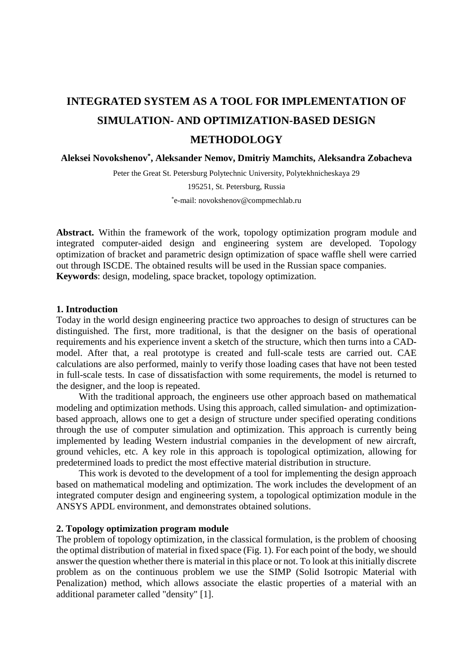# **INTEGRATED SYSTEM AS A TOOL FOR IMPLEMENTATION OF SIMULATION- AND OPTIMIZATION-BASED DESIGN METHODOLOGY**

**Aleksei Novokshenov\*, Aleksander Nemov, Dmitriy Mamchits, Aleksandra Zobacheva** 

Peter the Great St. Petersburg Polytechnic University, Polytekhnicheskaya 29

195251, St. Petersburg, Russia

\* e-mail: novokshenov@compmechlab.ru

**Abstract.** Within the framework of the work, topology optimization program module and integrated computer-aided design and engineering system are developed. Topology optimization of bracket and parametric design optimization of space waffle shell were carried out through ISCDE. The obtained results will be used in the Russian space companies. **Keywords**: design, modeling, space bracket, topology optimization.

## **1. Introduction**

Today in the world design engineering practice two approaches to design of structures can be distinguished. The first, more traditional, is that the designer on the basis of operational requirements and his experience invent a sketch of the structure, which then turns into a CADmodel. After that, a real prototype is created and full-scale tests are carried out. CAE calculations are also performed, mainly to verify those loading cases that have not been tested in full-scale tests. In case of dissatisfaction with some requirements, the model is returned to the designer, and the loop is repeated.

With the traditional approach, the engineers use other approach based on mathematical modeling and optimization methods. Using this approach, called simulation- and optimizationbased approach, allows one to get a design of structure under specified operating conditions through the use of computer simulation and optimization. This approach is currently being implemented by leading Western industrial companies in the development of new aircraft, ground vehicles, etc. A key role in this approach is topological optimization, allowing for predetermined loads to predict the most effective material distribution in structure.

 This work is devoted to the development of a tool for implementing the design approach based on mathematical modeling and optimization. The work includes the development of an integrated computer design and engineering system, a topological optimization module in the ANSYS APDL environment, and demonstrates obtained solutions.

## **2. Topology optimization program module**

The problem of topology optimization, in the classical formulation, is the problem of choosing the optimal distribution of material in fixed space (Fig. 1). For each point of the body, we should answer the question whether there is material in this place or not. To look at this initially discrete problem as on the continuous problem we use the SIMP (Solid Isotropic Material with Penalization) method, which allows associate the elastic properties of a material with an additional parameter called "density" [1].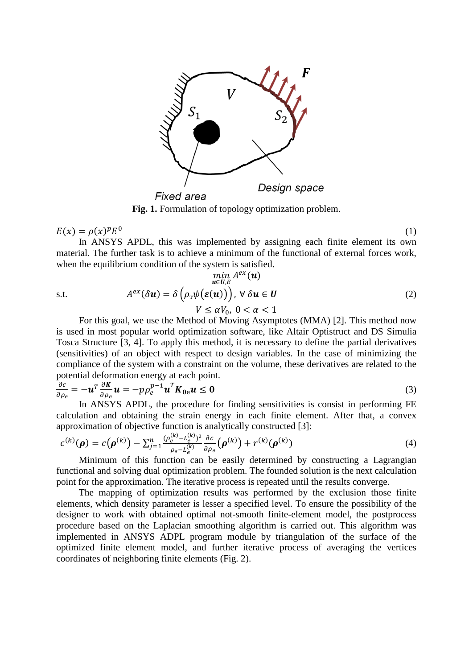

**Fig. 1.** Formulation of topology optimization problem.

 $E(x) = \rho(x)^p E^0$  (1)

In ANSYS APDL, this was implemented by assigning each finite element its own material. The further task is to achieve a minimum of the functional of external forces work, when the equilibrium condition of the system is satisfied.

$$
\min_{\mathbf{u}\in\mathbf{U},E} A^{ex}(\mathbf{u})
$$
\ns.t.\n
$$
A^{ex}(\delta\mathbf{u}) = \delta\left(\rho_{\mathrm{T}}\psi(\boldsymbol{\varepsilon}(\mathbf{u}))\right), \ \forall \ \delta\mathbf{u} \in \mathbf{U}
$$
\n
$$
V \leq \alpha V_0, \ 0 < \alpha < 1
$$
\n
$$
(2)
$$

For this goal, we use the Method of Moving Asymptotes (MMA) [2]. This method now is used in most popular world optimization software, like Altair Optistruct and DS Simulia Tosca Structure [3, 4]. To apply this method, it is necessary to define the partial derivatives (sensitivities) of an object with respect to design variables. In the case of minimizing the compliance of the system with a constraint on the volume, these derivatives are related to the potential deformation energy at each point.

$$
\frac{\partial c}{\partial \rho_e} = -\boldsymbol{u}^T \frac{\partial K}{\partial \rho_e} \boldsymbol{u} = -p \rho_e^{p-1} \overline{\boldsymbol{u}}^T \boldsymbol{K}_{0e} \boldsymbol{u} \leq \mathbf{0}
$$
\n(3)

In ANSYS APDL, the procedure for finding sensitivities is consist in performing FE calculation and obtaining the strain energy in each finite element. After that, a convex approximation of objective function is analytically constructed [3]:

$$
c^{(k)}(\boldsymbol{\rho}) = c(\boldsymbol{\rho}^{(k)}) - \sum_{j=1}^{n} \frac{(\rho_e^{(k)} - L_e^{(k)})^2}{\rho_e - L_e^{(k)}} \frac{\partial c}{\partial \rho_e}(\boldsymbol{\rho}^{(k)}) + r^{(k)}(\boldsymbol{\rho}^{(k)})
$$
(4)

Minimum of this function can be easily determined by constructing a Lagrangian functional and solving dual optimization problem. The founded solution is the next calculation point for the approximation. The iterative process is repeated until the results converge.

The mapping of optimization results was performed by the exclusion those finite elements, which density parameter is lesser a specified level. To ensure the possibility of the designer to work with obtained optimal not-smooth finite-element model, the postprocess procedure based on the Laplacian smoothing algorithm is carried out. This algorithm was implemented in ANSYS ADPL program module by triangulation of the surface of the optimized finite element model, and further iterative process of averaging the vertices coordinates of neighboring finite elements (Fig. 2).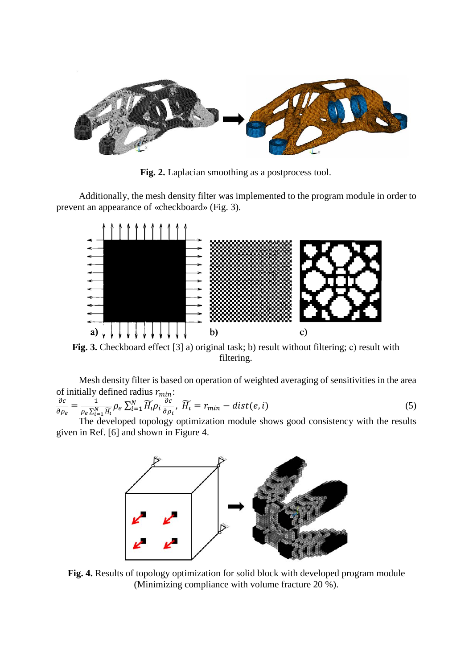

**Fig. 2.** Laplacian smoothing as a postprocess tool.

Additionally, the mesh density filter was implemented to the program module in order to prevent an appearance of «checkboard» (Fig. 3).



**Fig. 3.** Checkboard effect [3] a) original task; b) result without filtering; с) result with filtering.

Mesh density filter is based on operation of weighted averaging of sensitivities in the area of initially defined radius  $r_{min}$ :

$$
\frac{\partial c}{\partial \rho_e} = \frac{1}{\rho_e \sum_{i=1}^N \widetilde{H_i}} \rho_e \sum_{i=1}^N \widetilde{H_i} \rho_i \frac{\partial c}{\partial \rho_i}, \ \widetilde{H_i} = r_{min} - dist(e, i)
$$
(5)

The developed topology optimization module shows good consistency with the results given in Ref. [6] and shown in Figure 4.



**Fig. 4.** Results of topology optimization for solid block with developed program module (Minimizing compliance with volume fracture 20 %).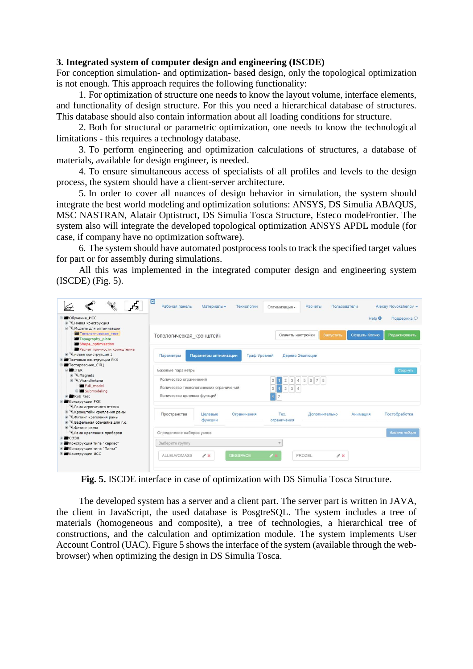# **3. Integrated system of computer design and engineering (ISCDE)**

For conception simulation- and optimization- based design, only the topological optimization is not enough. This approach requires the following functionality:

1. For optimization of structure one needs to know the layout volume, interface elements, and functionality of design structure. For this you need a hierarchical database of structures. This database should also contain information about all loading conditions for structure.

2. Both for structural or parametric optimization, one needs to know the technological limitations - this requires a technology database.

3. To perform engineering and optimization calculations of structures, a database of materials, available for design engineer, is needed.

4. To ensure simultaneous access of specialists of all profiles and levels to the design process, the system should have a client-server architecture.

5. In order to cover all nuances of design behavior in simulation, the system should integrate the best world modeling and optimization solutions: ANSYS, DS Simulia ABAQUS, MSC NASTRAN, Alatair Optistruct, DS Simulia Tosca Structure, Esteco modeFrontier. The system also will integrate the developed topological optimization ANSYS APDL module (for case, if company have no optimization software).

6. The system should have automated postprocess toolsto track the specified target values for part or for assembly during simulations.

All this was implemented in the integrated computer design and engineering system (ISCDE) (Fig. 5).

| <b>В Обучение ИСС</b><br>В ЖНовая конструкция                                                                                                                                                                                                                                                                                                                                                     | Help <sup>O</sup>                                                                                                                                         | Поддержка О    |
|---------------------------------------------------------------------------------------------------------------------------------------------------------------------------------------------------------------------------------------------------------------------------------------------------------------------------------------------------------------------------------------------------|-----------------------------------------------------------------------------------------------------------------------------------------------------------|----------------|
| В <sup>№</sup> Модели для оптимизации<br>Топологическая тест<br><b>Topography plate</b><br>Shape optimization                                                                                                                                                                                                                                                                                     | Скачать настройки<br>Создать Копию<br>Запустить<br>Топологическая кронштейн                                                                               | Редактировать  |
| Расчет прочности кронштейна<br><b>E</b> «новая конструкция 1<br>Тестовые конструкции РКК<br>⊞ Тестирование СКЦ                                                                                                                                                                                                                                                                                    | Параметры оптимизации<br>Дерево Эволюции<br>Параметры<br>Граф Уровней                                                                                     |                |
| $\equiv$ $\equiv$ ITER                                                                                                                                                                                                                                                                                                                                                                            | Базовые параметры                                                                                                                                         | Свернуть       |
| Magnets<br>WandAntena<br>Full model<br><b>B</b> Submodeling<br>E Kub test<br><b>В Конструкции РКК</b><br>• Рама агрегатного отсека<br><b>E Кронштейн крепления рамы</b><br><b>E</b> Фитинг крепления рамы<br>⊞ % Вафельная обечайка для г.о.<br><b>Е ФИТИНГ РАМЫ</b><br>• Рама крепления приборов<br>∓ ■соэн<br>Конструкция типа "Каркас"<br>Конструкция типа "Плита"<br><b>Е Конструкции ИСС</b> | Количество ограничений<br>3 4 5 6 7 8<br>$\circ$<br>Количество технологических ограничений<br>$2 \mid 3 \mid 4$<br>$\Omega$<br>Количество целевых функций |                |
|                                                                                                                                                                                                                                                                                                                                                                                                   | Пространства<br>Tex.<br>Целевые<br>Ограничения<br>Дополнительно<br>Анимация<br>функции<br>ограничения                                                     | Постобработка  |
|                                                                                                                                                                                                                                                                                                                                                                                                   | Определение наборов узлов                                                                                                                                 | Извлечь наборы |
|                                                                                                                                                                                                                                                                                                                                                                                                   | Выберите группу                                                                                                                                           |                |
|                                                                                                                                                                                                                                                                                                                                                                                                   | <b>ALLELWOMASS</b><br>$A^*$<br><b>DESSPACE</b><br>FROZEL<br>$\mathscr{E}$ %                                                                               |                |

**Fig. 5.** ISCDE interface in case of optimization with DS Simulia Tosca Structure.

The developed system has a server and a client part. The server part is written in JAVA, the client in JavaScript, the used database is PosgtreSQL. The system includes a tree of materials (homogeneous and composite), a tree of technologies, a hierarchical tree of constructions, and the calculation and optimization module. The system implements User Account Control (UAC). Figure 5 shows the interface of the system (available through the webbrowser) when optimizing the design in DS Simulia Tosca.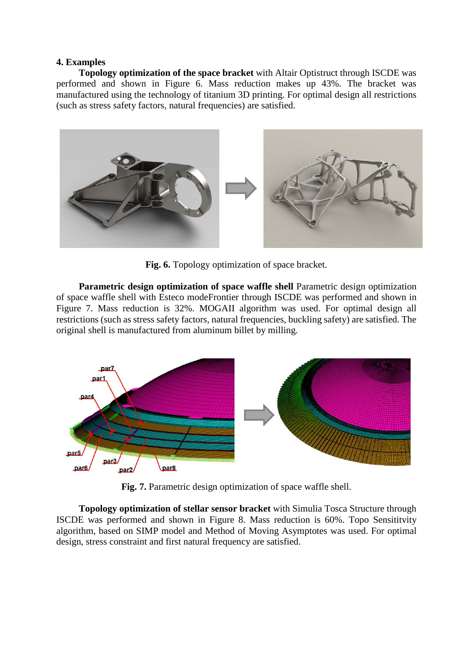## **4. Examples**

**Topology optimization of the space bracket** with Altair Optistruct through ISCDE was performed and shown in Figure 6. Mass reduction makes up 43%. The bracket was manufactured using the technology of titanium 3D printing. For optimal design all restrictions (such as stress safety factors, natural frequencies) are satisfied.



**Fig. 6.** Topology optimization of space bracket.

**Parametric design optimization of space waffle shell** Parametric design optimization of space waffle shell with Esteco modeFrontier through ISCDE was performed and shown in Figure 7. Mass reduction is 32%. MOGAII algorithm was used. For optimal design all restrictions (such as stress safety factors, natural frequencies, buckling safety) are satisfied. The original shell is manufactured from aluminum billet by milling.



**Fig. 7.** Parametric design optimization of space waffle shell.

**Topology optimization of stellar sensor bracket** with Simulia Tosca Structure through ISCDE was performed and shown in Figure 8. Mass reduction is 60%. Topo Sensititvity algorithm, based on SIMP model and Method of Moving Asymptotes was used. For optimal design, stress constraint and first natural frequency are satisfied.